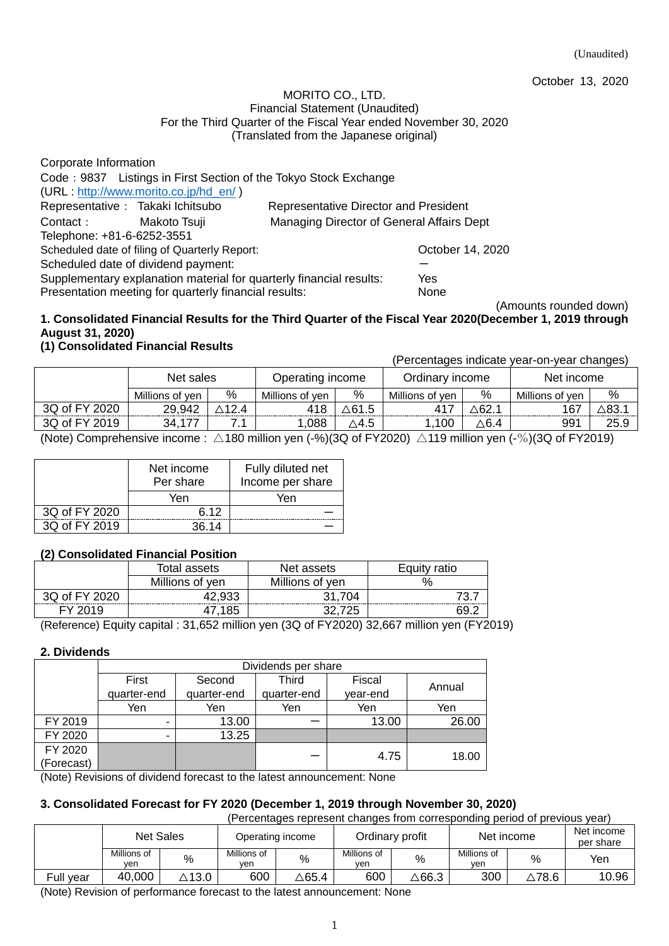October 13, 2020

#### MORITO CO., LTD. Financial Statement (Unaudited) For the Third Quarter of the Fiscal Year ended November 30, 2020 (Translated from the Japanese original)

| Corporate Information                                                      |                                                               |                  |  |  |  |  |
|----------------------------------------------------------------------------|---------------------------------------------------------------|------------------|--|--|--|--|
| Code: 9837 Listings in First Section of the Tokyo Stock Exchange           |                                                               |                  |  |  |  |  |
| (URL: http://www.morito.co.jp/hd_en/)                                      |                                                               |                  |  |  |  |  |
| Representative : Takaki Ichitsubo                                          | Representative Director and President                         |                  |  |  |  |  |
| Managing Director of General Affairs Dept<br>Contact:<br>Makoto Tsuji      |                                                               |                  |  |  |  |  |
| Telephone: +81-6-6252-3551                                                 |                                                               |                  |  |  |  |  |
| Scheduled date of filing of Quarterly Report:                              |                                                               | October 14, 2020 |  |  |  |  |
| Scheduled date of dividend payment:                                        |                                                               |                  |  |  |  |  |
| Supplementary explanation material for quarterly financial results:<br>Yes |                                                               |                  |  |  |  |  |
|                                                                            | Presentation meeting for quarterly financial results:<br>None |                  |  |  |  |  |

### (Amounts rounded down) **1. Consolidated Financial Results for the Third Quarter of the Fiscal Year 2020(December 1, 2019 through August 31, 2020)**

# **(1) Consolidated Financial Results**

(Percentages indicate year-on-year changes)

|               | Net sales       |     | Operating income |       | Ordinary income |      | Net income      |      |
|---------------|-----------------|-----|------------------|-------|-----------------|------|-----------------|------|
|               | Millions of ven | %   | Millions of ven  | %     | Millions of ven | %    | Millions of ven | %    |
| 3Q of FY 2020 | 29,942          | 124 | 418              | ∆61.5 |                 | ∖62. | 167             |      |
| 3Q of FY 2019 | 34,             |     | .088             | ∆4.5  | 100             | ∆6.4 | 991             | 25.9 |

(Note) Comprehensive income :  $\triangle$ 180 million yen (-%)(3Q of FY2020)  $\triangle$ 119 million yen (-%)(3Q of FY2019)

|               | Net income<br>Per share | Fully diluted net<br>Income per share |
|---------------|-------------------------|---------------------------------------|
|               | Yen                     | Yen                                   |
| 3Q of FY 2020 | 6 12                    |                                       |
| 3Q of FY 2019 | 36 14                   |                                       |

# **(2) Consolidated Financial Position**

|               | Total assets    | Net assets      | Equity ratio |  |
|---------------|-----------------|-----------------|--------------|--|
|               | Millions of yen | Millions of yen | $\%$         |  |
| 3Q of FY 2020 | 42,933          | 31.704          |              |  |
| FY 2019       | 47.185          |                 | 69.          |  |

(Reference) Equity capital : 31,652 million yen (3Q of FY2020) 32,667 million yen (FY2019)

# **2. Dividends**

|                   | Dividends per share |             |             |          |        |  |  |  |
|-------------------|---------------------|-------------|-------------|----------|--------|--|--|--|
|                   | First               | Second      | Third       | Fiscal   | Annual |  |  |  |
|                   | quarter-end         | quarter-end | quarter-end | year-end |        |  |  |  |
|                   | Yen                 | Yen         | Yen         | Yen      | Yen    |  |  |  |
| FY 2019           |                     | 13.00       |             | 13.00    | 26.00  |  |  |  |
| FY 2020           | -                   | 13.25       |             |          |        |  |  |  |
| FY 2020           |                     |             |             | 4.75     |        |  |  |  |
| (Forecast)        |                     |             |             |          | 18.00  |  |  |  |
| $\cdots$ $\cdots$ | .                   | . .         |             | .        |        |  |  |  |

(Note) Revisions of dividend forecast to the latest announcement: None

# **3. Consolidated Forecast for FY 2020 (December 1, 2019 through November 30, 2020)**

(Percentages represent changes from corresponding period of previous year)

|           | <b>Net Sales</b>   |                  |                    | Operating income |                    | Ordinary profit | Net income         |                  | Net income<br>per share |
|-----------|--------------------|------------------|--------------------|------------------|--------------------|-----------------|--------------------|------------------|-------------------------|
|           | Millions of<br>ven | %                | Millions of<br>ven | %                | Millions of<br>ven | %               | Millions of<br>ven | %                | Yen                     |
| Full vear | 40,000             | $\triangle$ 13.0 | 600                | ∆65.4            | 600                | ∆66.3           | 300                | $\triangle$ 78.6 | 10.96                   |

(Note) Revision of performance forecast to the latest announcement: None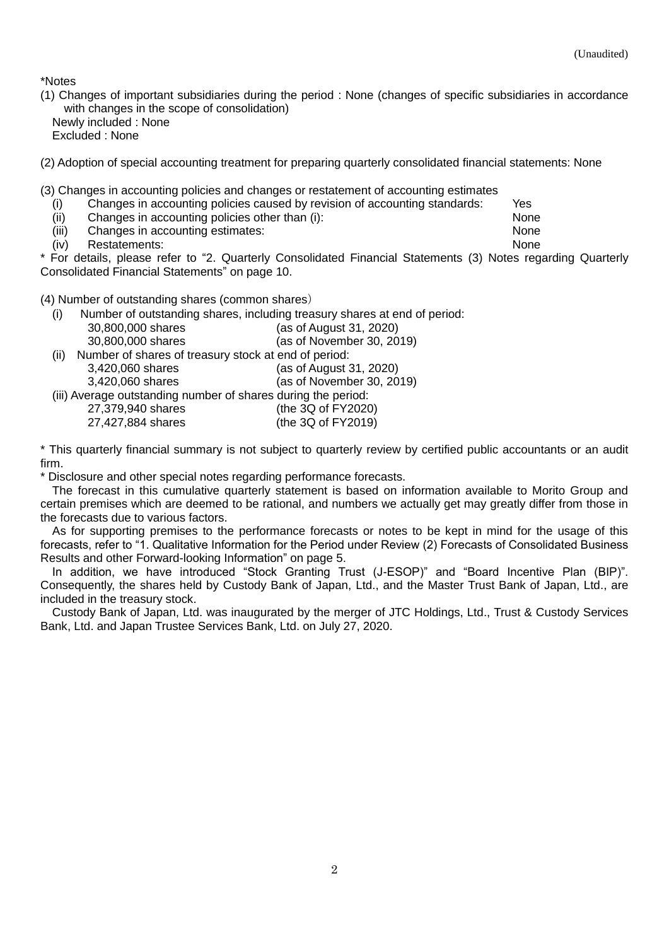\*Notes

(1) Changes of important subsidiaries during the period : None (changes of specific subsidiaries in accordance with changes in the scope of consolidation) Newly included : None Excluded : None

(2) Adoption of special accounting treatment for preparing quarterly consolidated financial statements: None

(3) Changes in accounting policies and changes or restatement of accounting estimates

- (i) Changes in accounting policies caused by revision of accounting standards: Yes
- (ii) Changes in accounting policies other than (i): None
- (iii) Changes in accounting estimates: None
- (iv) Restatements: None

\* For details, please refer to "2. Quarterly Consolidated Financial Statements (3) Notes regarding Quarterly Consolidated Financial Statements" on page 10.

(4) Number of outstanding shares (common shares)

(i) Number of outstanding shares, including treasury shares at end of period: 30,800,000 shares (as of August 31, 2020) 30,800,000 shares (as of November 30, 2019) (ii) Number of shares of treasury stock at end of period: 3,420,060 shares (as of August 31, 2020) 3,420,060 shares (as of November 30, 2019) (iii) Average outstanding number of shares during the period: 27,379,940 shares (the 3Q of FY2020) 27,427,884 shares (the 3Q of FY2019)

\* This quarterly financial summary is not subject to quarterly review by certified public accountants or an audit firm.

\* Disclosure and other special notes regarding performance forecasts.

The forecast in this cumulative quarterly statement is based on information available to Morito Group and certain premises which are deemed to be rational, and numbers we actually get may greatly differ from those in the forecasts due to various factors.

As for supporting premises to the performance forecasts or notes to be kept in mind for the usage of this forecasts, refer to "1. Qualitative Information for the Period under Review (2) Forecasts of Consolidated Business Results and other Forward-looking Information" on page 5.

In addition, we have introduced "Stock Granting Trust (J-ESOP)" and "Board Incentive Plan (BIP)". Consequently, the shares held by Custody Bank of Japan, Ltd., and the Master Trust Bank of Japan, Ltd., are included in the treasury stock.

Custody Bank of Japan, Ltd. was inaugurated by the merger of JTC Holdings, Ltd., Trust & Custody Services Bank, Ltd. and Japan Trustee Services Bank, Ltd. on July 27, 2020.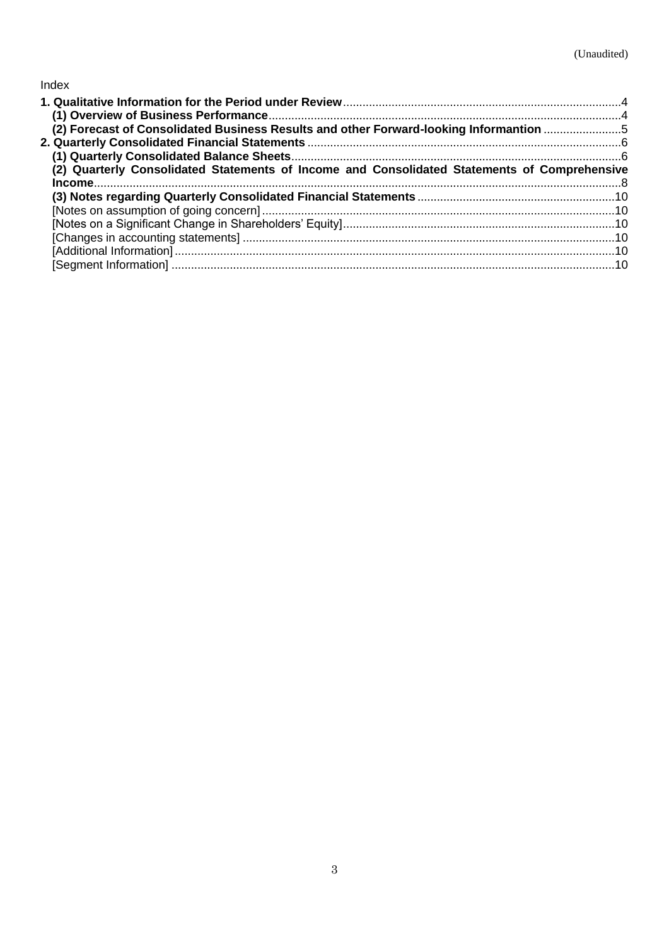# Index

| (2) Forecast of Consolidated Business Results and other Forward-looking Informantion 5       |  |
|----------------------------------------------------------------------------------------------|--|
|                                                                                              |  |
|                                                                                              |  |
| (2) Quarterly Consolidated Statements of Income and Consolidated Statements of Comprehensive |  |
|                                                                                              |  |
|                                                                                              |  |
|                                                                                              |  |
|                                                                                              |  |
|                                                                                              |  |
|                                                                                              |  |
|                                                                                              |  |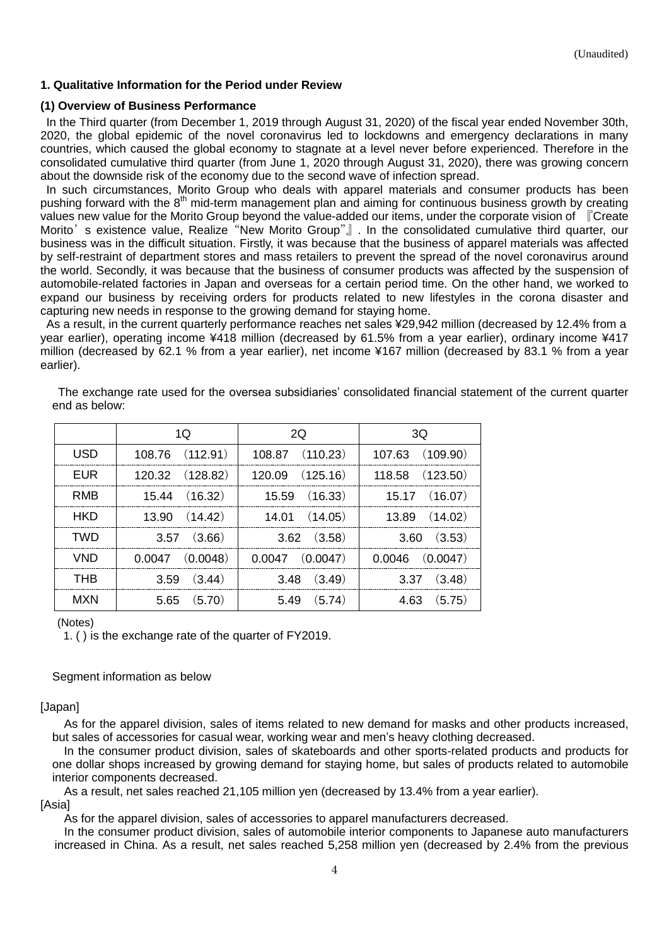### <span id="page-3-0"></span>**1. Qualitative Information for the Period under Review**

### <span id="page-3-1"></span>**(1) Overview of Business Performance**

In the Third quarter (from December 1, 2019 through August 31, 2020) of the fiscal year ended November 30th, 2020, the global epidemic of the novel coronavirus led to lockdowns and emergency declarations in many countries, which caused the global economy to stagnate at a level never before experienced. Therefore in the consolidated cumulative third quarter (from June 1, 2020 through August 31, 2020), there was growing concern about the downside risk of the economy due to the second wave of infection spread.

In such circumstances, Morito Group who deals with apparel materials and consumer products has been pushing forward with the 8<sup>th</sup> mid-term management plan and aiming for continuous business growth by creating values new value for the Morito Group beyond the value-added our items, under the corporate vision of 『Create Morito's existence value, Realize "New Morito Group"』. In the consolidated cumulative third quarter, our business was in the difficult situation. Firstly, it was because that the business of apparel materials was affected by self-restraint of department stores and mass retailers to prevent the spread of the novel coronavirus around the world. Secondly, it was because that the business of consumer products was affected by the suspension of automobile-related factories in Japan and overseas for a certain period time. On the other hand, we worked to expand our business by receiving orders for products related to new lifestyles in the corona disaster and capturing new needs in response to the growing demand for staying home.

As a result, in the current quarterly performance reaches net sales ¥29,942 million (decreased by 12.4% from a year earlier), operating income ¥418 million (decreased by 61.5% from a year earlier), ordinary income ¥417 million (decreased by 62.1 % from a year earlier), net income ¥167 million (decreased by 83.1 % from a year earlier).

|            | 1Q                  | 2Q                  | 3Q                  |
|------------|---------------------|---------------------|---------------------|
| USD        | 108.76 (112.91)     | 108.87 (110.23)     | 107.63 (109.90)     |
| <b>EUR</b> | 120.32 (128.82)     | (125.16)<br>120.09  | 118.58 (123.50)     |
| RMB        | 15.44 (16.32)       | $15.59$ $(16.33)$   | $15.17$ $(16.07)$   |
| <b>HKD</b> | $13.90$ $(14.42)$   | $14.01$ $(14.05)$   | $13.89$ $(14.02)$   |
| <b>TWD</b> | (3.66)<br>3.57      | $3.62$ $(3.58)$     | $3.60$ $(3.53)$     |
| <b>VND</b> | $0.0047$ $(0.0048)$ | $0.0047$ $(0.0047)$ | $0.0046$ $(0.0047)$ |
| <b>THB</b> | (3.44)<br>3.59      | (3.49)<br>3.48      | (3.48)<br>3.37      |
| <b>MXN</b> | (5.70)<br>5.65      | (5.74)<br>5.49      | (5.75)<br>4.63      |

The exchange rate used for the oversea subsidiaries' consolidated financial statement of the current quarter end as below:

### (Notes)

1. ( ) is the exchange rate of the quarter of FY2019.

### Segment information as below

### [Japan]

As for the apparel division, sales of items related to new demand for masks and other products increased, but sales of accessories for casual wear, working wear and men's heavy clothing decreased.

In the consumer product division, sales of skateboards and other sports-related products and products for one dollar shops increased by growing demand for staying home, but sales of products related to automobile interior components decreased.

As a result, net sales reached 21,105 million yen (decreased by 13.4% from a year earlier). [Asia]

As for the apparel division, sales of accessories to apparel manufacturers decreased.

In the consumer product division, sales of automobile interior components to Japanese auto manufacturers increased in China. As a result, net sales reached 5,258 million yen (decreased by 2.4% from the previous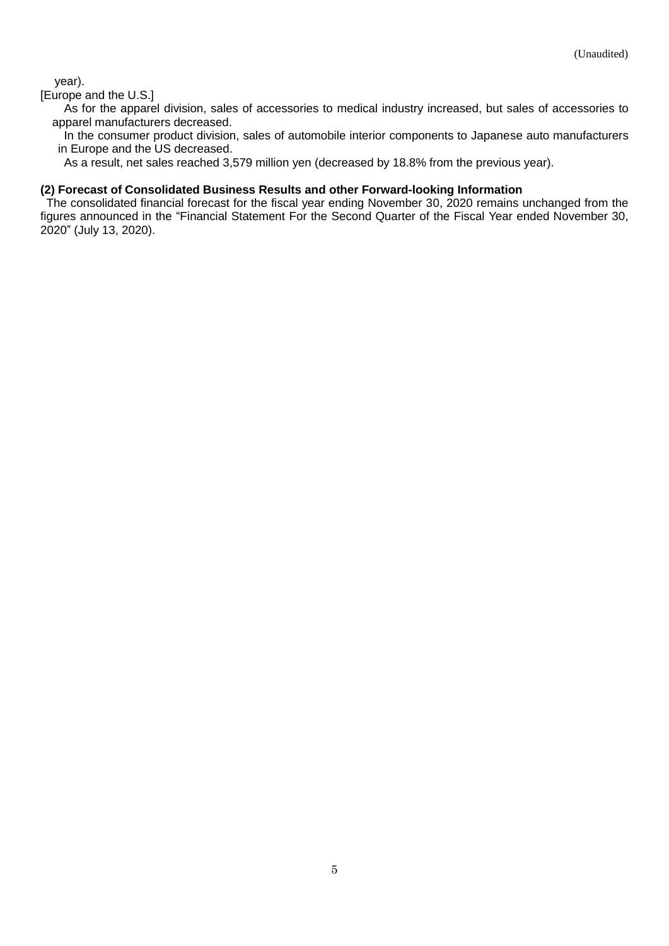year).

### [Europe and the U.S.]

As for the apparel division, sales of accessories to medical industry increased, but sales of accessories to apparel manufacturers decreased.

In the consumer product division, sales of automobile interior components to Japanese auto manufacturers in Europe and the US decreased.

As a result, net sales reached 3,579 million yen (decreased by 18.8% from the previous year).

### <span id="page-4-0"></span>**(2) Forecast of Consolidated Business Results and other Forward-looking Information**

The consolidated financial forecast for the fiscal year ending November 30, 2020 remains unchanged from the figures announced in the "Financial Statement For the Second Quarter of the Fiscal Year ended November 30, 2020" (July 13, 2020).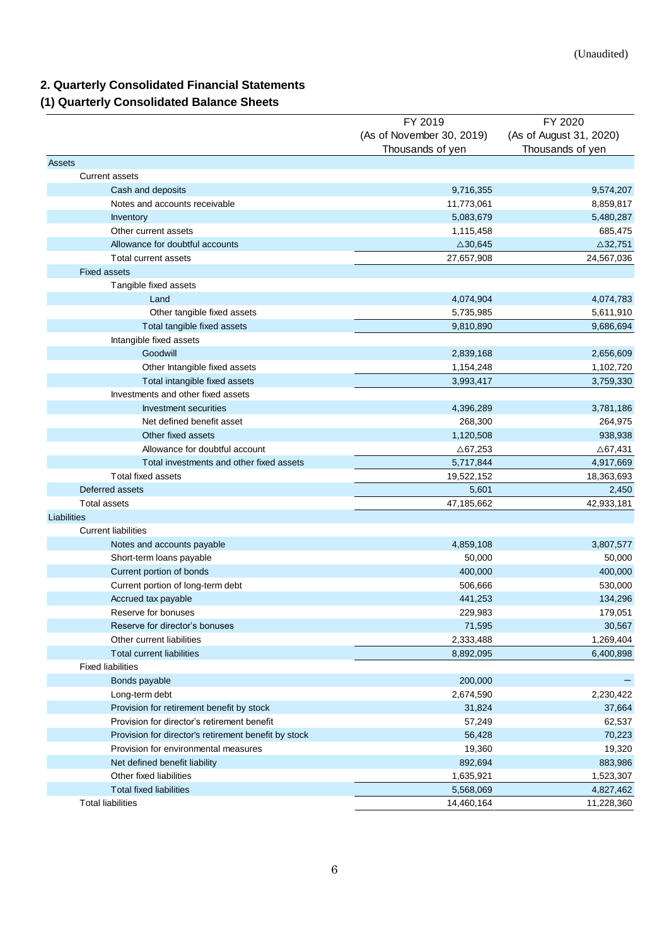# <span id="page-5-0"></span>**2. Quarterly Consolidated Financial Statements**

# <span id="page-5-1"></span>**(1) Quarterly Consolidated Balance Sheets**

|                                                      | FY 2019                   | FY 2020                 |
|------------------------------------------------------|---------------------------|-------------------------|
|                                                      | (As of November 30, 2019) | (As of August 31, 2020) |
|                                                      | Thousands of yen          | Thousands of yen        |
| <b>Assets</b>                                        |                           |                         |
| <b>Current assets</b>                                |                           |                         |
| Cash and deposits                                    | 9,716,355                 | 9,574,207               |
| Notes and accounts receivable                        | 11,773,061                | 8,859,817               |
| <b>Inventory</b>                                     | 5,083,679                 | 5,480,287               |
| Other current assets                                 | 1,115,458                 | 685,475                 |
| Allowance for doubtful accounts                      | $\triangle$ 30,645        | $\triangle$ 32,751      |
| Total current assets                                 | 27,657,908                | 24,567,036              |
| <b>Fixed assets</b>                                  |                           |                         |
| Tangible fixed assets                                |                           |                         |
| Land                                                 | 4,074,904                 | 4,074,783               |
| Other tangible fixed assets                          | 5,735,985                 | 5,611,910               |
| Total tangible fixed assets                          | 9,810,890                 | 9,686,694               |
| Intangible fixed assets                              |                           |                         |
| Goodwill                                             | 2,839,168                 | 2,656,609               |
| Other Intangible fixed assets                        | 1,154,248                 | 1,102,720               |
| Total intangible fixed assets                        | 3,993,417                 | 3,759,330               |
| Investments and other fixed assets                   |                           |                         |
| <b>Investment securities</b>                         | 4,396,289                 | 3,781,186               |
| Net defined benefit asset                            | 268,300                   | 264,975                 |
| Other fixed assets                                   | 1,120,508                 | 938,938                 |
| Allowance for doubtful account                       | ∆67,253                   | △67,431                 |
| Total investments and other fixed assets             | 5,717,844                 | 4,917,669               |
| <b>Total fixed assets</b>                            | 19,522,152                | 18,363,693              |
| Deferred assets                                      | 5,601                     | 2,450                   |
| <b>Total assets</b>                                  | 47,185,662                | 42,933,181              |
| Liabilities                                          |                           |                         |
| <b>Current liabilities</b>                           |                           |                         |
| Notes and accounts payable                           | 4,859,108                 | 3,807,577               |
| Short-term loans payable                             | 50,000                    | 50,000                  |
| Current portion of bonds                             | 400,000                   | 400,000                 |
| Current portion of long-term debt                    | 506,666                   | 530,000                 |
|                                                      | 441,253                   |                         |
| Accrued tax payable<br>Reserve for bonuses           | 229,983                   | 134,296                 |
|                                                      |                           | 179,051                 |
| Reserve for director's bonuses                       | 71,595                    | 30,567                  |
| Other current liabilities                            | 2,333,488                 | 1,269,404               |
| Total current liabilities                            | 8,892,095                 | 6,400,898               |
| <b>Fixed liabilities</b>                             |                           |                         |
| Bonds payable                                        | 200,000                   |                         |
| Long-term debt                                       | 2,674,590                 | 2,230,422               |
| Provision for retirement benefit by stock            | 31,824                    | 37,664                  |
| Provision for director's retirement benefit          | 57,249                    | 62,537                  |
| Provision for director's retirement benefit by stock | 56,428                    | 70,223                  |
| Provision for environmental measures                 | 19,360                    | 19,320                  |
| Net defined benefit liability                        | 892,694                   | 883,986                 |
| Other fixed liabilities                              | 1,635,921                 | 1,523,307               |
| <b>Total fixed liabilities</b>                       | 5,568,069                 | 4,827,462               |
| <b>Total liabilities</b>                             | 14,460,164                | 11,228,360              |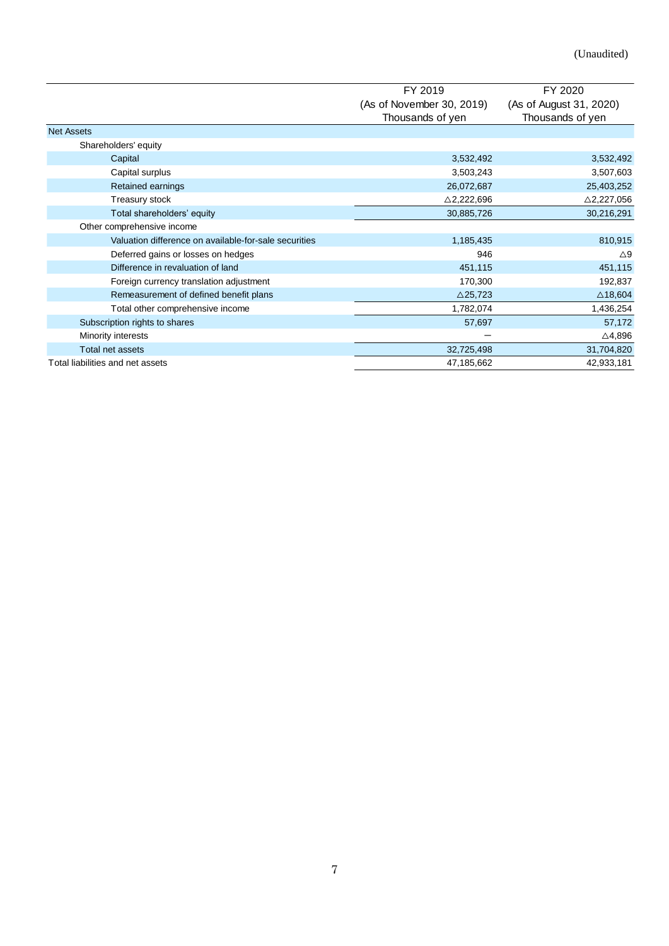|                                                       | FY 2019                   | FY 2020                 |
|-------------------------------------------------------|---------------------------|-------------------------|
|                                                       | (As of November 30, 2019) | (As of August 31, 2020) |
|                                                       | Thousands of yen          | Thousands of yen        |
| <b>Net Assets</b>                                     |                           |                         |
| Shareholders' equity                                  |                           |                         |
| Capital                                               | 3,532,492                 | 3,532,492               |
| Capital surplus                                       | 3,503,243                 | 3,507,603               |
| <b>Retained earnings</b>                              | 26,072,687                | 25,403,252              |
| Treasury stock                                        | $\triangle$ 2,222,696     | $\triangle$ 2,227,056   |
| Total shareholders' equity                            | 30,885,726                | 30,216,291              |
| Other comprehensive income                            |                           |                         |
| Valuation difference on available-for-sale securities | 1,185,435                 | 810,915                 |
| Deferred gains or losses on hedges                    | 946                       | $\triangle 9$           |
| Difference in revaluation of land                     | 451,115                   | 451,115                 |
| Foreign currency translation adjustment               | 170,300                   | 192,837                 |
| Remeasurement of defined benefit plans                | $\triangle$ 25,723        | $\triangle$ 18,604      |
| Total other comprehensive income                      | 1,782,074                 | 1,436,254               |
| Subscription rights to shares                         | 57,697                    | 57,172                  |
| Minority interests                                    |                           | △4,896                  |
| Total net assets                                      | 32,725,498                | 31,704,820              |
| Total liabilities and net assets                      | 47,185,662                | 42,933,181              |
|                                                       |                           |                         |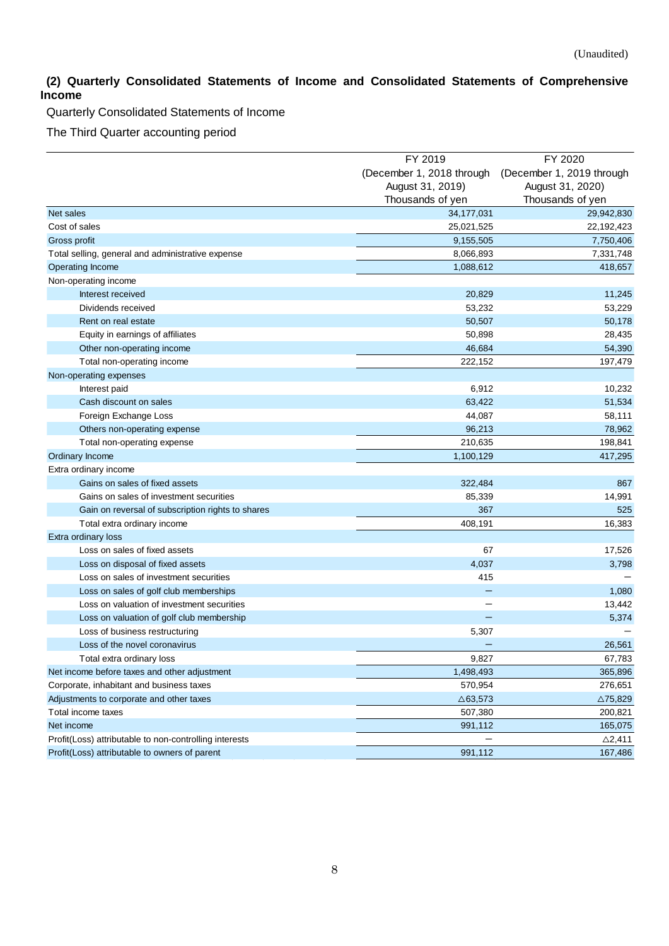# <span id="page-7-0"></span>**(2) Quarterly Consolidated Statements of Income and Consolidated Statements of Comprehensive Income**

Quarterly Consolidated Statements of Income

The Third Quarter accounting period

|                                                        | FY 2019                   | FY 2020                   |
|--------------------------------------------------------|---------------------------|---------------------------|
|                                                        | (December 1, 2018 through | (December 1, 2019 through |
|                                                        | August 31, 2019)          | August 31, 2020)          |
|                                                        | Thousands of yen          | Thousands of yen          |
| Net sales                                              | 34, 177, 031              | 29,942,830                |
| Cost of sales                                          | 25,021,525                | 22,192,423                |
| Gross profit                                           | 9,155,505                 | 7,750,406                 |
| Total selling, general and administrative expense      | 8,066,893                 | 7,331,748                 |
| Operating Income                                       | 1,088,612                 | 418,657                   |
| Non-operating income                                   |                           |                           |
| Interest received                                      | 20,829                    | 11,245                    |
| Dividends received                                     | 53,232                    | 53,229                    |
| Rent on real estate                                    | 50,507                    | 50,178                    |
| Equity in earnings of affiliates                       | 50,898                    | 28,435                    |
| Other non-operating income                             | 46,684                    | 54,390                    |
| Total non-operating income                             | 222,152                   | 197,479                   |
| Non-operating expenses                                 |                           |                           |
| Interest paid                                          | 6,912                     | 10,232                    |
| Cash discount on sales                                 | 63,422                    | 51,534                    |
| Foreign Exchange Loss                                  | 44,087                    | 58,111                    |
| Others non-operating expense                           | 96,213                    | 78,962                    |
| Total non-operating expense                            | 210,635                   | 198,841                   |
| Ordinary Income                                        | 1,100,129                 | 417,295                   |
| Extra ordinary income                                  |                           |                           |
| Gains on sales of fixed assets                         | 322,484                   | 867                       |
| Gains on sales of investment securities                | 85,339                    | 14,991                    |
| Gain on reversal of subscription rights to shares      | 367                       | 525                       |
| Total extra ordinary income                            | 408,191                   | 16,383                    |
| Extra ordinary loss                                    |                           |                           |
| Loss on sales of fixed assets                          | 67                        | 17,526                    |
| Loss on disposal of fixed assets                       | 4,037                     | 3,798                     |
| Loss on sales of investment securities                 | 415                       |                           |
| Loss on sales of golf club memberships                 |                           | 1,080                     |
| Loss on valuation of investment securities             |                           | 13,442                    |
| Loss on valuation of golf club membership              |                           | 5,374                     |
| Loss of business restructuring                         | 5,307                     |                           |
| Loss of the novel coronavirus                          |                           | 26,561                    |
| Total extra ordinary loss                              | 9,827                     | 67,783                    |
| Net income before taxes and other adjustment           | 1,498,493                 | 365,896                   |
| Corporate, inhabitant and business taxes               | 570,954                   | 276,651                   |
| Adjustments to corporate and other taxes               | $\triangle$ 63,573        | $\triangle$ 75,829        |
| Total income taxes                                     | 507,380                   | 200,821                   |
| Net income                                             | 991,112                   | 165,075                   |
| Profit(Loss) attributable to non-controlling interests |                           | $\triangle$ 2,411         |
| Profit(Loss) attributable to owners of parent          | 991,112                   | 167,486                   |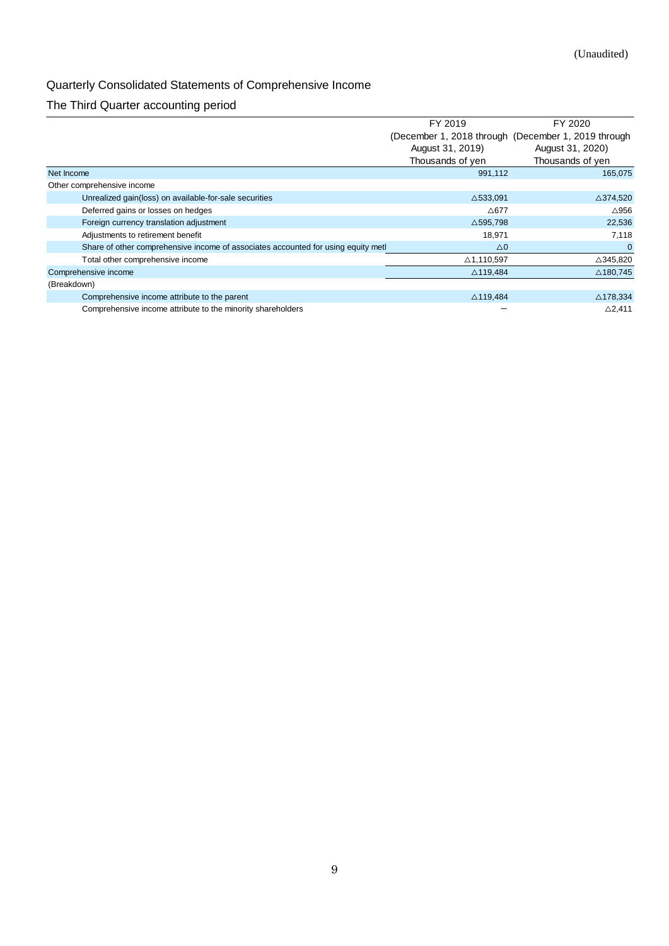# Quarterly Consolidated Statements of Comprehensive Income

# The Third Quarter accounting period

|                                                                                   | FY 2019             | FY 2020                                             |
|-----------------------------------------------------------------------------------|---------------------|-----------------------------------------------------|
|                                                                                   |                     | (December 1, 2018 through (December 1, 2019 through |
|                                                                                   | August 31, 2019)    | August 31, 2020)                                    |
|                                                                                   | Thousands of yen    | Thousands of yen                                    |
| Net Income                                                                        | 991,112             | 165,075                                             |
| Other comprehensive income                                                        |                     |                                                     |
| Unrealized gain(loss) on available-for-sale securities                            | $\triangle$ 533,091 | $\triangle$ 374,520                                 |
| Deferred gains or losses on hedges                                                | $\triangle$ 677     | $\triangle$ 956                                     |
| Foreign currency translation adjustment                                           | $\triangle$ 595,798 | 22,536                                              |
| Adjustments to retirement benefit                                                 | 18,971              | 7,118                                               |
| Share of other comprehensive income of associates accounted for using equity metl | $\triangle 0$       |                                                     |
| Total other comprehensive income                                                  | △1,110,597          | △345,820                                            |
| Comprehensive income                                                              | $\triangle$ 119,484 | △180,745                                            |
| (Breakdown)                                                                       |                     |                                                     |
| Comprehensive income attribute to the parent                                      | $\triangle$ 119,484 | $\triangle$ 178,334                                 |
| Comprehensive income attribute to the minority shareholders                       |                     | $\triangle$ 2,411                                   |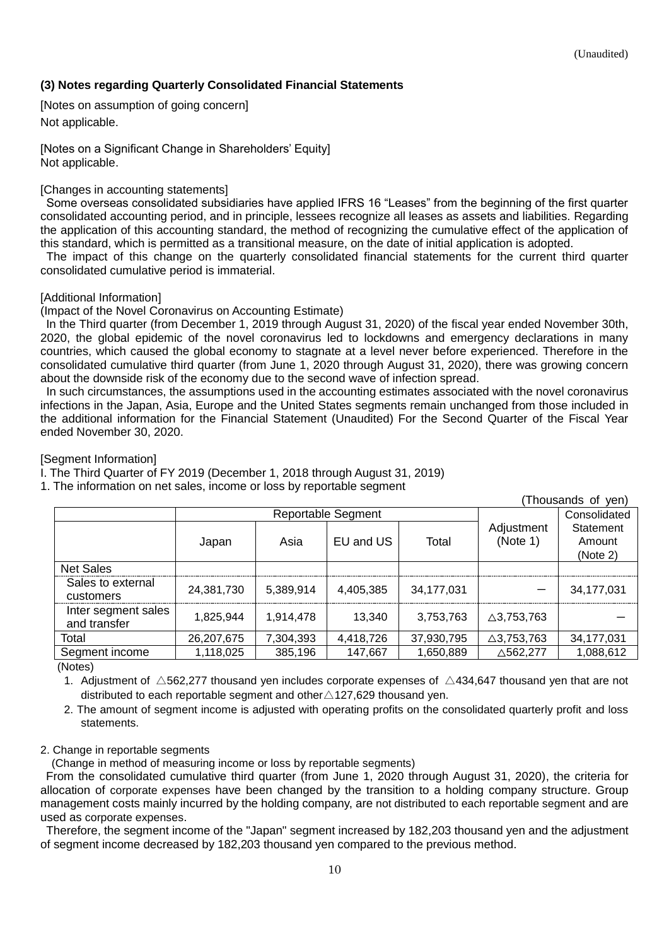# <span id="page-9-0"></span>**(3) Notes regarding Quarterly Consolidated Financial Statements**

<span id="page-9-1"></span>[Notes on assumption of going concern] Not applicable.

<span id="page-9-2"></span>[Notes on a Significant Change in Shareholders' Equity] Not applicable.

### <span id="page-9-3"></span>[Changes in accounting statements]

Some overseas consolidated subsidiaries have applied IFRS 16 "Leases" from the beginning of the first quarter consolidated accounting period, and in principle, lessees recognize all leases as assets and liabilities. Regarding the application of this accounting standard, the method of recognizing the cumulative effect of the application of this standard, which is permitted as a transitional measure, on the date of initial application is adopted.

The impact of this change on the quarterly consolidated financial statements for the current third quarter consolidated cumulative period is immaterial.

### <span id="page-9-4"></span>[Additional Information]

(Impact of the Novel Coronavirus on Accounting Estimate)

In the Third quarter (from December 1, 2019 through August 31, 2020) of the fiscal year ended November 30th, 2020, the global epidemic of the novel coronavirus led to lockdowns and emergency declarations in many countries, which caused the global economy to stagnate at a level never before experienced. Therefore in the consolidated cumulative third quarter (from June 1, 2020 through August 31, 2020), there was growing concern about the downside risk of the economy due to the second wave of infection spread.

In such circumstances, the assumptions used in the accounting estimates associated with the novel coronavirus infections in the Japan, Asia, Europe and the United States segments remain unchanged from those included in the additional information for the Financial Statement (Unaudited) For the Second Quarter of the Fiscal Year ended November 30, 2020.

### <span id="page-9-5"></span>[Segment Information]

I. The Third Quarter of FY 2019 (December 1, 2018 through August 31, 2019)

1. The information on net sales, income or loss by reportable segment

(Thousands of yen)

|                                     |            | <b>Reportable Segment</b> |           | $1100$ about $100$ views $11$<br>Consolidated |                        |                                 |
|-------------------------------------|------------|---------------------------|-----------|-----------------------------------------------|------------------------|---------------------------------|
|                                     | Japan      | Asia                      | EU and US | Total                                         | Adjustment<br>(Note 1) | Statement<br>Amount<br>(Note 2) |
| <b>Net Sales</b>                    |            |                           |           |                                               |                        |                                 |
| Sales to external<br>customers      | 24,381,730 | 5,389,914                 | 4,405,385 | 34,177,031                                    |                        | 34,177,031                      |
| Inter segment sales<br>and transfer | 1.825.944  | 1,914,478                 | 13.340    | 3,753,763                                     | $\triangle$ 3,753,763  |                                 |
| Total                               | 26,207,675 | 7,304,393                 | 4,418,726 | 37,930,795                                    | $\triangle$ 3,753,763  | 34,177,031                      |
| Segment income                      | 1,118,025  | 385,196                   | 147,667   | 1,650,889                                     | $\triangle$ 562,277    | 1,088,612                       |

(Notes)

1. Adjustment of  $\triangle$ 562,277 thousand yen includes corporate expenses of  $\triangle$ 434,647 thousand yen that are not distributed to each reportable segment and other $\triangle$ 127,629 thousand yen.

2. The amount of segment income is adjusted with operating profits on the consolidated quarterly profit and loss statements.

# 2. Change in reportable segments

(Change in method of measuring income or loss by reportable segments)

From the consolidated cumulative third quarter (from June 1, 2020 through August 31, 2020), the criteria for allocation of corporate expenses have been changed by the transition to a holding company structure. Group management costs mainly incurred by the holding company, are not distributed to each reportable segment and are used as corporate expenses.

Therefore, the segment income of the "Japan" segment increased by 182,203 thousand yen and the adjustment of segment income decreased by 182,203 thousand yen compared to the previous method.